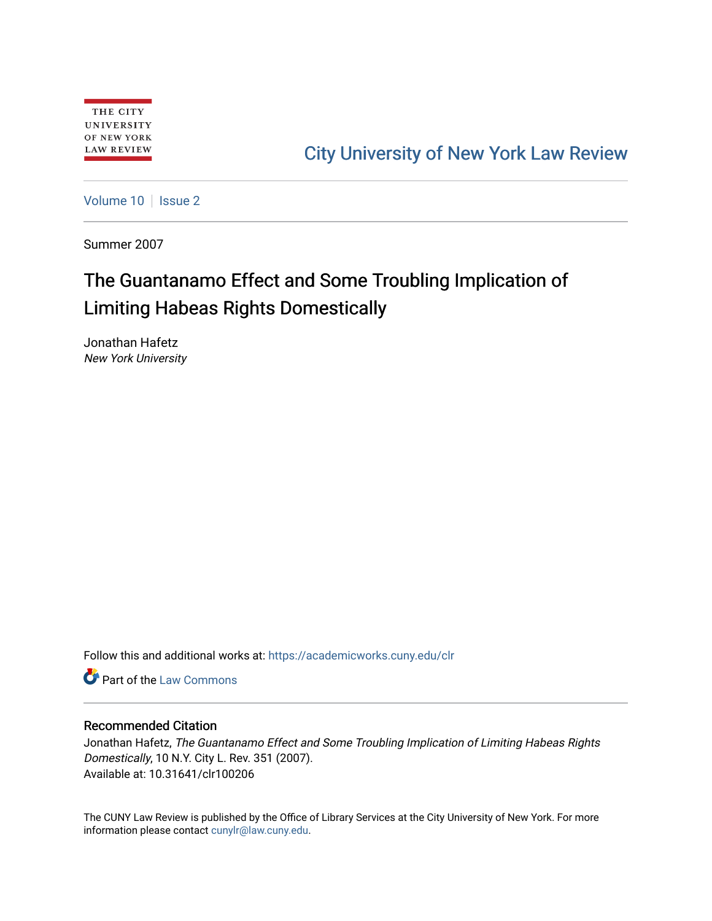## [City University of New York Law Review](https://academicworks.cuny.edu/clr)

[Volume 10](https://academicworks.cuny.edu/clr/vol10) | [Issue 2](https://academicworks.cuny.edu/clr/vol10/iss2)

Summer 2007

# The Guantanamo Effect and Some Troubling Implication of Limiting Habeas Rights Domestically

Jonathan Hafetz New York University

Follow this and additional works at: [https://academicworks.cuny.edu/clr](https://academicworks.cuny.edu/clr?utm_source=academicworks.cuny.edu%2Fclr%2Fvol10%2Fiss2%2F7&utm_medium=PDF&utm_campaign=PDFCoverPages) 

**C** Part of the [Law Commons](http://network.bepress.com/hgg/discipline/578?utm_source=academicworks.cuny.edu%2Fclr%2Fvol10%2Fiss2%2F7&utm_medium=PDF&utm_campaign=PDFCoverPages)

### Recommended Citation

Jonathan Hafetz, The Guantanamo Effect and Some Troubling Implication of Limiting Habeas Rights Domestically, 10 N.Y. City L. Rev. 351 (2007). Available at: 10.31641/clr100206

The CUNY Law Review is published by the Office of Library Services at the City University of New York. For more information please contact [cunylr@law.cuny.edu](mailto:cunylr@law.cuny.edu).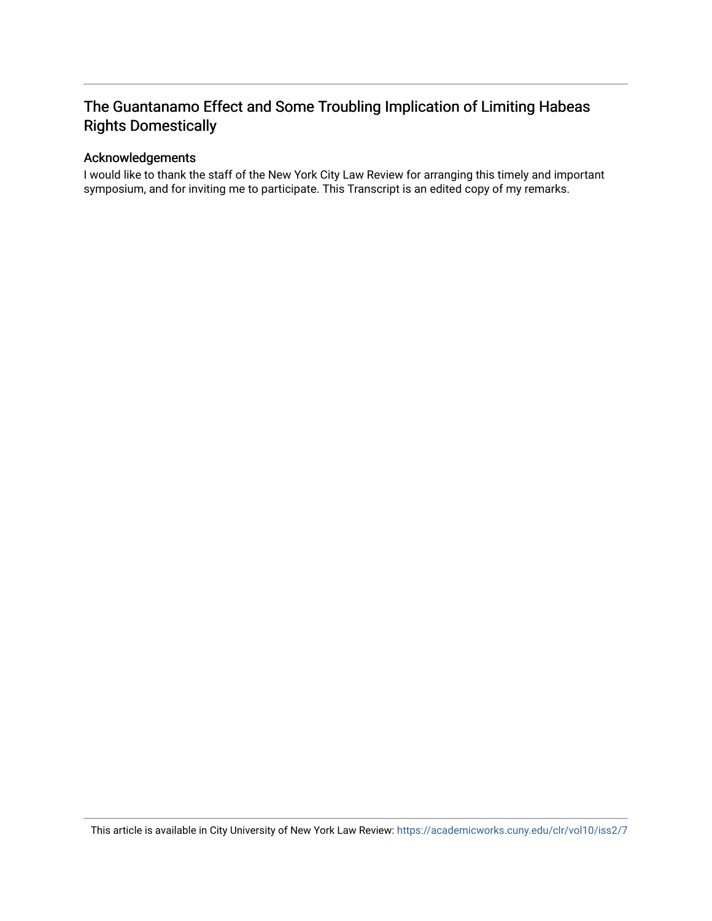### The Guantanamo Effect and Some Troubling Implication of Limiting Habeas Rights Domestically

### Acknowledgements

I would like to thank the staff of the New York City Law Review for arranging this timely and important symposium, and for inviting me to participate. This Transcript is an edited copy of my remarks.

This article is available in City University of New York Law Review: <https://academicworks.cuny.edu/clr/vol10/iss2/7>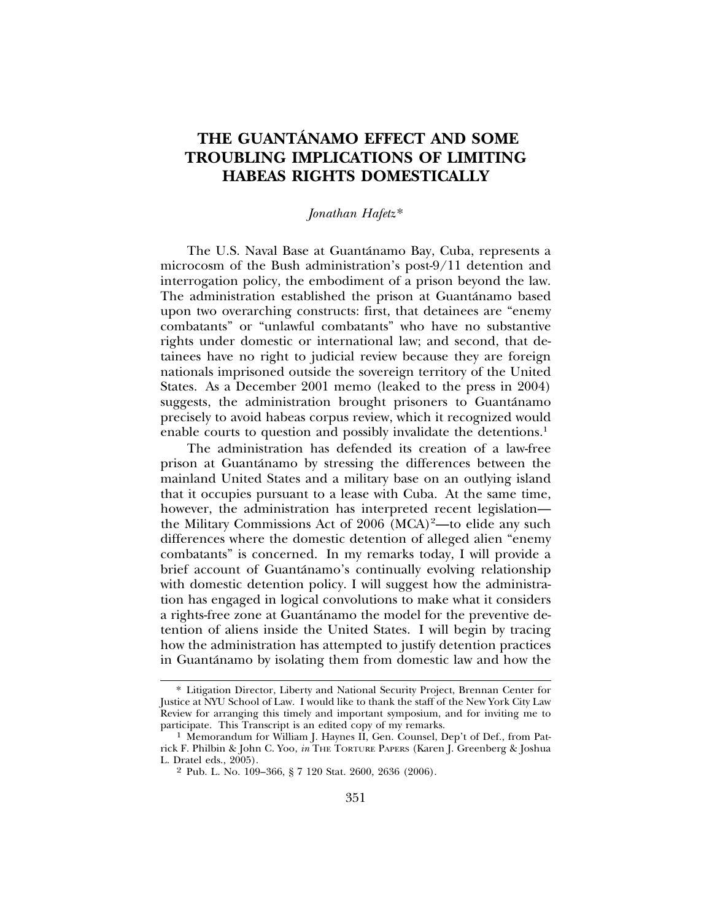### **THE GUANTANAMO EFFECT AND SOME ´ TROUBLING IMPLICATIONS OF LIMITING HABEAS RIGHTS DOMESTICALLY**

#### *Jonathan Hafetz*\*

The U.S. Naval Base at Guantanamo Bay, Cuba, represents a ´ microcosm of the Bush administration's post-9/11 detention and interrogation policy, the embodiment of a prison beyond the law. The administration established the prison at Guantánamo based upon two overarching constructs: first, that detainees are "enemy combatants" or "unlawful combatants" who have no substantive rights under domestic or international law; and second, that detainees have no right to judicial review because they are foreign nationals imprisoned outside the sovereign territory of the United States. As a December 2001 memo (leaked to the press in 2004) suggests, the administration brought prisoners to Guantánamo precisely to avoid habeas corpus review, which it recognized would enable courts to question and possibly invalidate the detentions.<sup>1</sup>

The administration has defended its creation of a law-free prison at Guantanamo by stressing the differences between the ´ mainland United States and a military base on an outlying island that it occupies pursuant to a lease with Cuba. At the same time, however, the administration has interpreted recent legislation the Military Commissions Act of 2006 (MCA)<sup>2</sup>-to elide any such differences where the domestic detention of alleged alien "enemy combatants" is concerned. In my remarks today, I will provide a brief account of Guantánamo's continually evolving relationship with domestic detention policy. I will suggest how the administration has engaged in logical convolutions to make what it considers a rights-free zone at Guantánamo the model for the preventive detention of aliens inside the United States. I will begin by tracing how the administration has attempted to justify detention practices in Guantánamo by isolating them from domestic law and how the

<sup>\*</sup> Litigation Director, Liberty and National Security Project, Brennan Center for Justice at NYU School of Law. I would like to thank the staff of the New York City Law Review for arranging this timely and important symposium, and for inviting me to participate. This Transcript is an edited copy of my remarks.

 $1$  Memorandum for William J. Haynes II, Gen. Counsel, Dep't of Def., from Patrick F. Philbin & John C. Yoo, *in* THE TORTURE PAPERS (Karen J. Greenberg & Joshua L. Dratel eds., 2005).

<sup>2</sup> Pub. L. No. 109–366, § 7 120 Stat. 2600, 2636 (2006).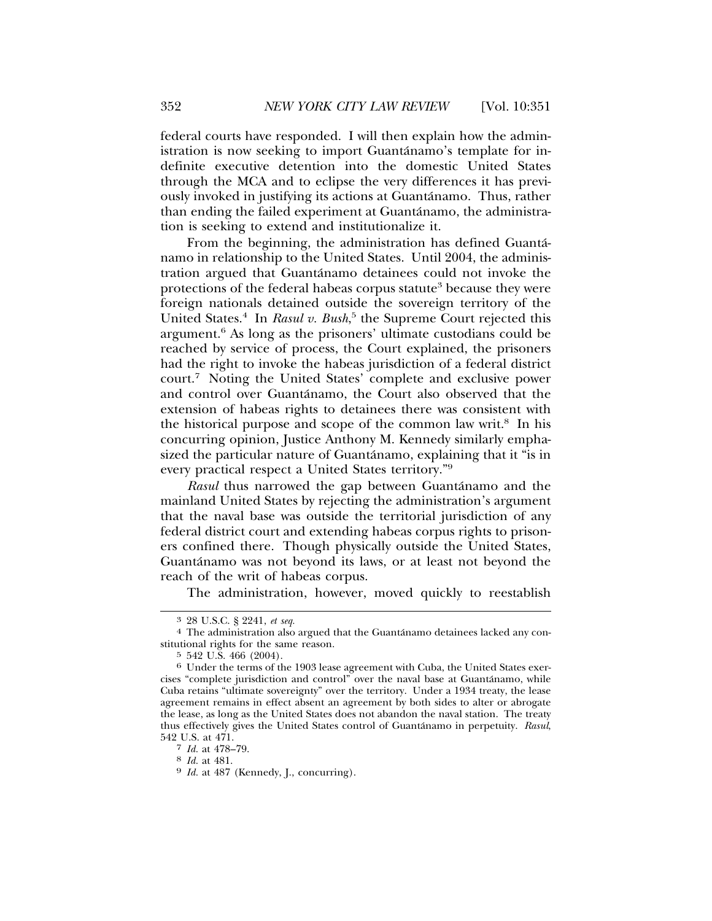federal courts have responded. I will then explain how the administration is now seeking to import Guantánamo's template for indefinite executive detention into the domestic United States through the MCA and to eclipse the very differences it has previously invoked in justifying its actions at Guantanamo. Thus, rather ´ than ending the failed experiment at Guantánamo, the administration is seeking to extend and institutionalize it.

From the beginning, the administration has defined Guanta-´ namo in relationship to the United States. Until 2004, the administration argued that Guantánamo detainees could not invoke the protections of the federal habeas corpus statute<sup>3</sup> because they were foreign nationals detained outside the sovereign territory of the United States.<sup>4</sup> In *Rasul v. Bush*,<sup>5</sup> the Supreme Court rejected this argument.<sup>6</sup> As long as the prisoners' ultimate custodians could be reached by service of process, the Court explained, the prisoners had the right to invoke the habeas jurisdiction of a federal district court.7 Noting the United States' complete and exclusive power and control over Guantánamo, the Court also observed that the extension of habeas rights to detainees there was consistent with the historical purpose and scope of the common law writ.<sup>8</sup> In his concurring opinion, Justice Anthony M. Kennedy similarly emphasized the particular nature of Guantánamo, explaining that it "is in every practical respect a United States territory."9

*Rasul* thus narrowed the gap between Guantánamo and the mainland United States by rejecting the administration's argument that the naval base was outside the territorial jurisdiction of any federal district court and extending habeas corpus rights to prisoners confined there. Though physically outside the United States, Guantánamo was not beyond its laws, or at least not beyond the reach of the writ of habeas corpus.

The administration, however, moved quickly to reestablish

<sup>&</sup>lt;sup>3</sup> 28 U.S.C. § 2241, *et seq.*  $\frac{4}{100}$  The administration also argued that the Guantanamo detainees lacked any constitutional rights for the same reason.<br>5 542 U.S. 466 (2004).

 $6\,$  Under the terms of the 1903 lease agreement with Cuba, the United States exercises "complete jurisdiction and control" over the naval base at Guantanamo, while ´ Cuba retains "ultimate sovereignty" over the territory. Under a 1934 treaty, the lease agreement remains in effect absent an agreement by both sides to alter or abrogate the lease, as long as the United States does not abandon the naval station. The treaty thus effectively gives the United States control of Guantánamo in perpetuity. Rasul, 542 U.S. at  $471.7$ <br>7 *Id.* at  $478-79.$ 

<sup>&</sup>lt;sup>8</sup> *Id.* at 481. <sup>9</sup> *Id.* at 487 (Kennedy, J., concurring).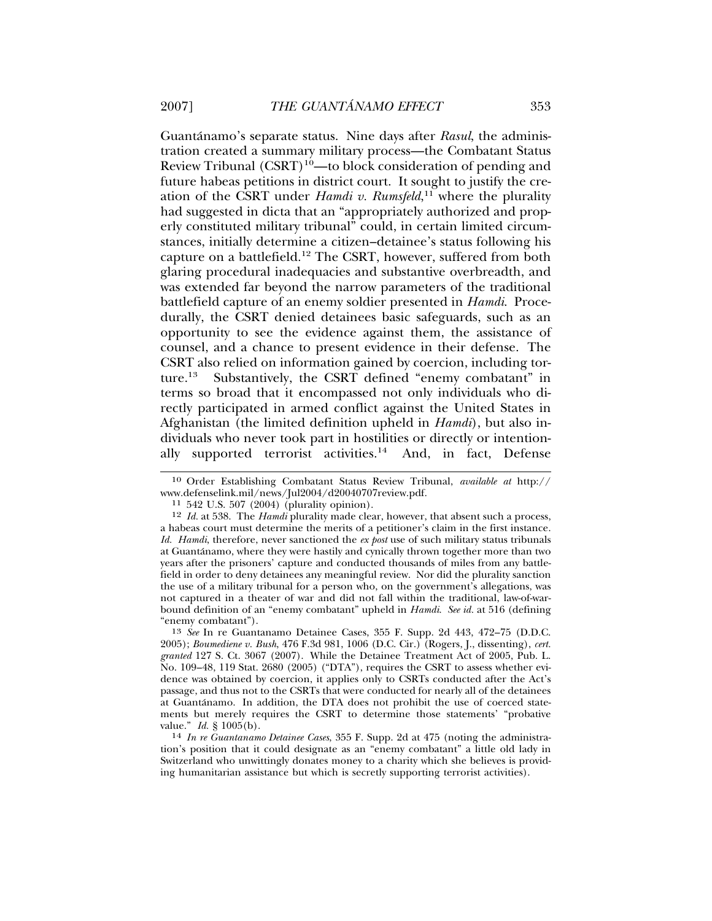Guantánamo's separate status. Nine days after *Rasul*, the administration created a summary military process—the Combatant Status Review Tribunal  $(CSRT)^{10}$ —to block consideration of pending and future habeas petitions in district court. It sought to justify the creation of the CSRT under *Hamdi v. Rumsfeld*, 11 where the plurality had suggested in dicta that an "appropriately authorized and properly constituted military tribunal" could, in certain limited circumstances, initially determine a citizen–detainee's status following his capture on a battlefield.12 The CSRT, however, suffered from both glaring procedural inadequacies and substantive overbreadth, and was extended far beyond the narrow parameters of the traditional battlefield capture of an enemy soldier presented in *Hamdi*. Procedurally, the CSRT denied detainees basic safeguards, such as an opportunity to see the evidence against them, the assistance of counsel, and a chance to present evidence in their defense. The CSRT also relied on information gained by coercion, including torture.13 Substantively, the CSRT defined "enemy combatant" in terms so broad that it encompassed not only individuals who directly participated in armed conflict against the United States in Afghanistan (the limited definition upheld in *Hamdi*), but also individuals who never took part in hostilities or directly or intentionally supported terrorist activities.14 And, in fact, Defense

13 *See* In re Guantanamo Detainee Cases, 355 F. Supp. 2d 443, 472–75 (D.D.C. 2005); *Boumediene v. Bush*, 476 F.3d 981, 1006 (D.C. Cir.) (Rogers, J., dissenting), *cert. granted* 127 S. Ct. 3067 (2007). While the Detainee Treatment Act of 2005, Pub. L. No. 109–48, 119 Stat. 2680 (2005) ("DTA"), requires the CSRT to assess whether evidence was obtained by coercion, it applies only to CSRTs conducted after the Act's passage, and thus not to the CSRTs that were conducted for nearly all of the detainees at Guantanamo. In addition, the DTA does not prohibit the use of coerced state- ´ ments but merely requires the CSRT to determine those statements' "probative value."  $Id. \S 1005(b)$ .

<sup>10</sup> Order Establishing Combatant Status Review Tribunal, *available at* http:// www.defenselink.mil/news/Jul2004/d20040707review.pdf. <sup>11</sup> 542 U.S. 507 (2004) (plurality opinion).

<sup>12</sup> *Id.* at 538. The *Hamdi* plurality made clear, however, that absent such a process, a habeas court must determine the merits of a petitioner's claim in the first instance. *Id. Hamdi*, therefore, never sanctioned the *ex post* use of such military status tribunals at Guantanamo, where they were hastily and cynically thrown together more than two ´ years after the prisoners' capture and conducted thousands of miles from any battlefield in order to deny detainees any meaningful review. Nor did the plurality sanction the use of a military tribunal for a person who, on the government's allegations, was not captured in a theater of war and did not fall within the traditional, law-of-warbound definition of an "enemy combatant" upheld in *Hamdi*. *See id.* at 516 (defining "enemy combatant").

<sup>&</sup>lt;sup>14</sup> *In re Guantanamo Detainee Cases*, 355 F. Supp. 2d at 475 (noting the administration's position that it could designate as an "enemy combatant" a little old lady in Switzerland who unwittingly donates money to a charity which she believes is providing humanitarian assistance but which is secretly supporting terrorist activities).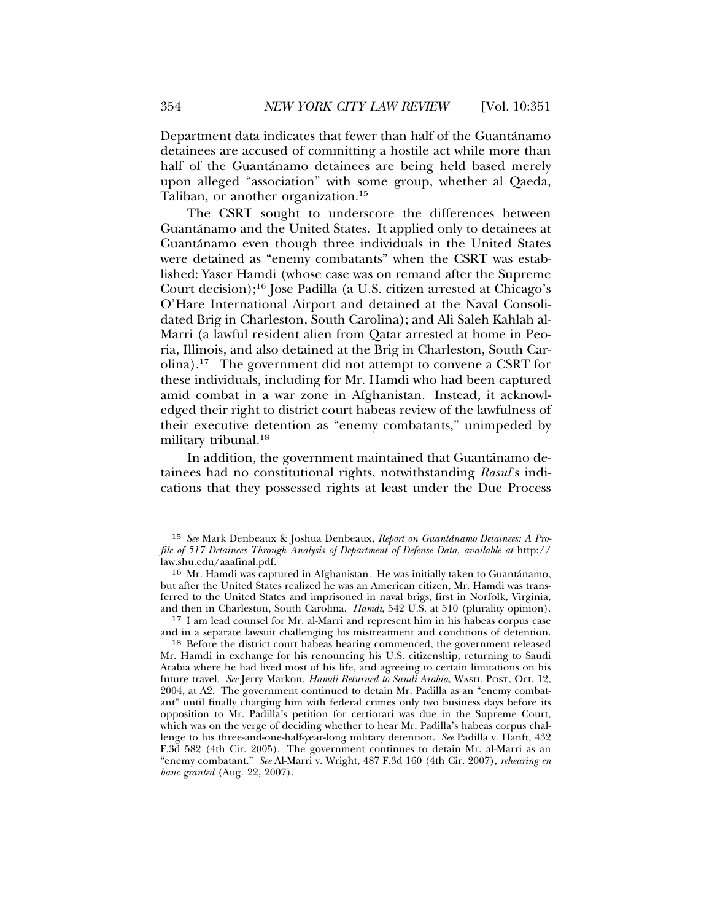Department data indicates that fewer than half of the Guantánamo detainees are accused of committing a hostile act while more than half of the Guantánamo detainees are being held based merely upon alleged "association" with some group, whether al Qaeda, Taliban, or another organization.<sup>15</sup>

The CSRT sought to underscore the differences between Guantanamo and the United States. It applied only to detainees at ´ Guantánamo even though three individuals in the United States were detained as "enemy combatants" when the CSRT was established: Yaser Hamdi (whose case was on remand after the Supreme Court decision);16 Jose Padilla (a U.S. citizen arrested at Chicago's O'Hare International Airport and detained at the Naval Consolidated Brig in Charleston, South Carolina); and Ali Saleh Kahlah al-Marri (a lawful resident alien from Qatar arrested at home in Peoria, Illinois, and also detained at the Brig in Charleston, South Carolina).17 The government did not attempt to convene a CSRT for these individuals, including for Mr. Hamdi who had been captured amid combat in a war zone in Afghanistan. Instead, it acknowledged their right to district court habeas review of the lawfulness of their executive detention as "enemy combatants," unimpeded by military tribunal.<sup>18</sup>

In addition, the government maintained that Guantánamo detainees had no constitutional rights, notwithstanding *Rasul*'s indications that they possessed rights at least under the Due Process

<sup>15</sup> *See* Mark Denbeaux & Joshua Denbeaux, *Report on Guantanamo Detainees: A Pro- ´ file of 517 Detainees Through Analysis of Department of Defense Data*, *available at* http:// law.shu.edu/aaafinal.pdf.

<sup>16</sup> Mr. Hamdi was captured in Afghanistan. He was initially taken to Guantanamo, ´ but after the United States realized he was an American citizen, Mr. Hamdi was transferred to the United States and imprisoned in naval brigs, first in Norfolk, Virginia, and then in Charleston, South Carolina. *Hamdi*, 542 U.S. at 510 (plurality opinion).

<sup>17</sup> I am lead counsel for Mr. al-Marri and represent him in his habeas corpus case and in a separate lawsuit challenging his mistreatment and conditions of detention.

<sup>18</sup> Before the district court habeas hearing commenced, the government released Mr. Hamdi in exchange for his renouncing his U.S. citizenship, returning to Saudi Arabia where he had lived most of his life, and agreeing to certain limitations on his future travel. *See* Jerry Markon, *Hamdi Returned to Saudi Arabia*, WASH. POST, Oct. 12, 2004, at A2. The government continued to detain Mr. Padilla as an "enemy combatant" until finally charging him with federal crimes only two business days before its opposition to Mr. Padilla's petition for certiorari was due in the Supreme Court, which was on the verge of deciding whether to hear Mr. Padilla's habeas corpus challenge to his three-and-one-half-year-long military detention. *See* Padilla v. Hanft, 432 F.3d 582 (4th Cir. 2005). The government continues to detain Mr. al-Marri as an "enemy combatant." *See* Al-Marri v. Wright, 487 F.3d 160 (4th Cir. 2007), *rehearing en banc granted* (Aug. 22, 2007).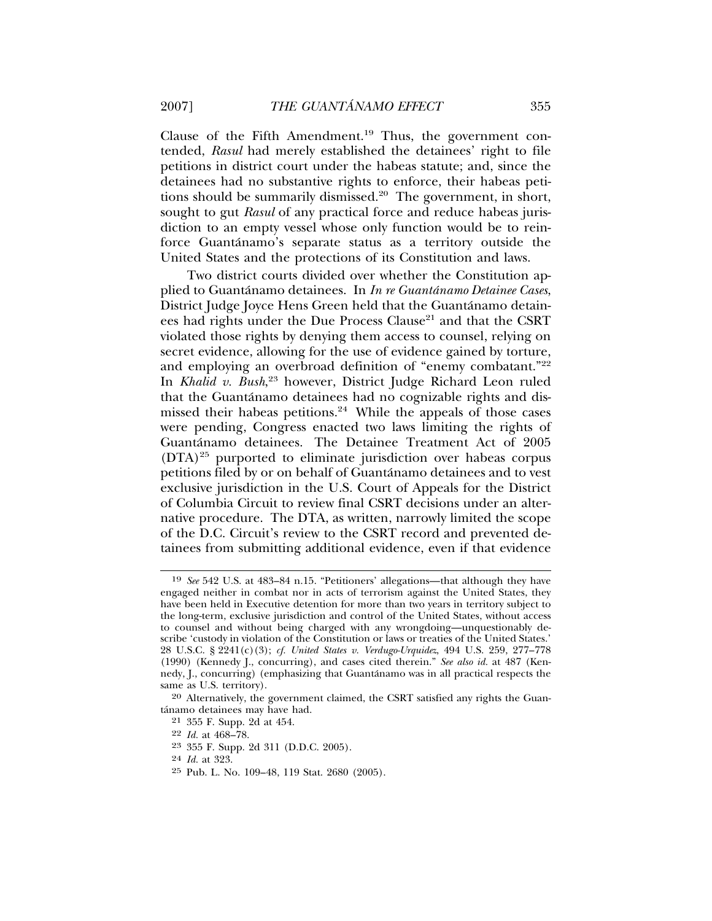Clause of the Fifth Amendment.19 Thus, the government contended, *Rasul* had merely established the detainees' right to file petitions in district court under the habeas statute; and, since the detainees had no substantive rights to enforce, their habeas petitions should be summarily dismissed.<sup>20</sup> The government, in short, sought to gut *Rasul* of any practical force and reduce habeas jurisdiction to an empty vessel whose only function would be to reinforce Guantánamo's separate status as a territory outside the United States and the protections of its Constitution and laws.

Two district courts divided over whether the Constitution applied to Guantánamo detainees. In *In re Guantánamo Detainee Cases*, District Judge Joyce Hens Green held that the Guantánamo detainees had rights under the Due Process Clause<sup>21</sup> and that the CSRT violated those rights by denying them access to counsel, relying on secret evidence, allowing for the use of evidence gained by torture, and employing an overbroad definition of "enemy combatant."<sup>22</sup> In *Khalid v. Bush*, 23 however, District Judge Richard Leon ruled that the Guantánamo detainees had no cognizable rights and dismissed their habeas petitions.<sup>24</sup> While the appeals of those cases were pending, Congress enacted two laws limiting the rights of Guantanamo detainees. The Detainee Treatment Act of 2005 ´  $(DTA)^{25}$  purported to eliminate jurisdiction over habeas corpus petitions filed by or on behalf of Guantánamo detainees and to vest exclusive jurisdiction in the U.S. Court of Appeals for the District of Columbia Circuit to review final CSRT decisions under an alternative procedure. The DTA, as written, narrowly limited the scope of the D.C. Circuit's review to the CSRT record and prevented detainees from submitting additional evidence, even if that evidence

<sup>19</sup> *See* 542 U.S. at 483–84 n.15. "Petitioners' allegations—that although they have engaged neither in combat nor in acts of terrorism against the United States, they have been held in Executive detention for more than two years in territory subject to the long-term, exclusive jurisdiction and control of the United States, without access to counsel and without being charged with any wrongdoing—unquestionably describe 'custody in violation of the Constitution or laws or treaties of the United States.' 28 U.S.C. § 2241(c)(3); *cf. United States v. Verdugo-Urquidez*, 494 U.S. 259, 277–778 (1990) (Kennedy J., concurring), and cases cited therein." *See also id.* at 487 (Kennedy, J., concurring) (emphasizing that Guantanamo was in all practical respects the ´ same as U.S. territory).

<sup>20</sup> Alternatively, the government claimed, the CSRT satisfied any rights the Guantánamo detainees may have had.

<sup>21</sup> 355 F. Supp. 2d at 454.

<sup>22</sup> *Id.* at 468–78.

<sup>23</sup> 355 F. Supp. 2d 311 (D.D.C. 2005).

<sup>24</sup> *Id.* at 323.

<sup>25</sup> Pub. L. No. 109–48, 119 Stat. 2680 (2005).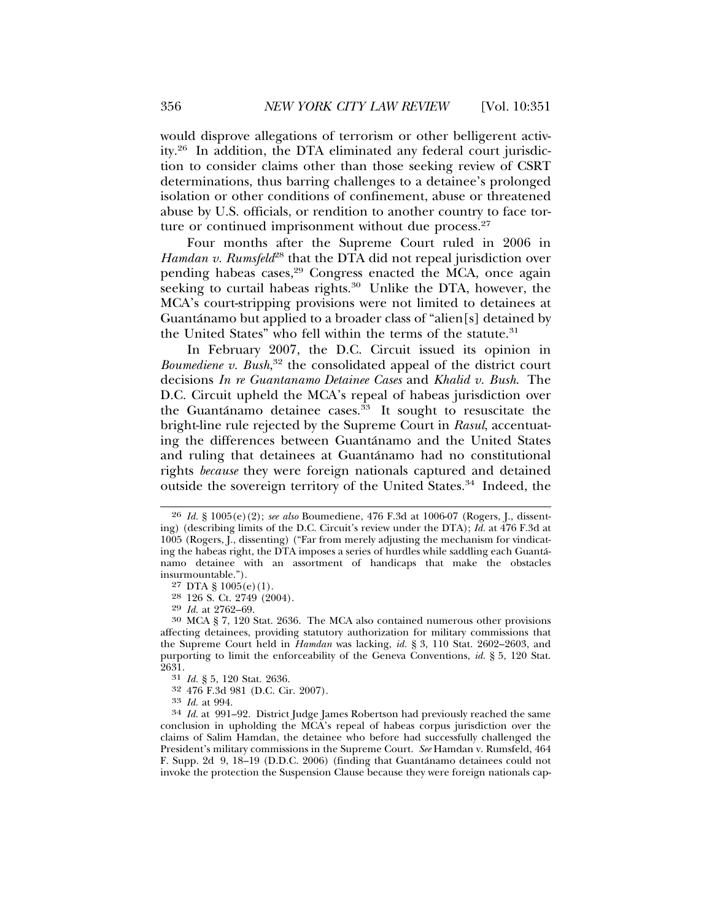would disprove allegations of terrorism or other belligerent activity.26 In addition, the DTA eliminated any federal court jurisdiction to consider claims other than those seeking review of CSRT determinations, thus barring challenges to a detainee's prolonged isolation or other conditions of confinement, abuse or threatened abuse by U.S. officials, or rendition to another country to face torture or continued imprisonment without due process.<sup>27</sup>

Four months after the Supreme Court ruled in 2006 in *Hamdan v. Rumsfeld*<sup>28</sup> that the DTA did not repeal jurisdiction over pending habeas cases,<sup>29</sup> Congress enacted the MCA, once again seeking to curtail habeas rights.<sup>30</sup> Unlike the DTA, however, the MCA's court-stripping provisions were not limited to detainees at Guantánamo but applied to a broader class of "alien[s] detained by the United States" who fell within the terms of the statute.<sup>31</sup>

In February 2007, the D.C. Circuit issued its opinion in *Boumediene v. Bush*, 32 the consolidated appeal of the district court decisions *In re Guantanamo Detainee Cases* and *Khalid v. Bush*. The D.C. Circuit upheld the MCA's repeal of habeas jurisdiction over the Guantánamo detainee cases. $^{33}$  It sought to resuscitate the bright-line rule rejected by the Supreme Court in *Rasul*, accentuating the differences between Guantánamo and the United States and ruling that detainees at Guantánamo had no constitutional rights *because* they were foreign nationals captured and detained outside the sovereign territory of the United States.<sup>34</sup> Indeed, the

27 DTA  $\S$  1005(e)(1).

 $28$  126 S. Ct. 2749 (2004).<br>  $29$  *Id.* at 2762-69.

31 *Id.* § 5, 120 Stat. 2636.

<sup>33</sup> *Id.* at 994.<br><sup>34</sup> *Id.* at 991–92. District Judge James Robertson had previously reached the same conclusion in upholding the MCA's repeal of habeas corpus jurisdiction over the claims of Salim Hamdan, the detainee who before had successfully challenged the President's military commissions in the Supreme Court. *See* Hamdan v. Rumsfeld, 464 F. Supp. 2d 9, 18–19 (D.D.C. 2006) (finding that Guantanamo detainees could not ´ invoke the protection the Suspension Clause because they were foreign nationals cap-

<sup>26</sup> *Id.* § 1005(e)(2); *see also* Boumediene, 476 F.3d at 1006-07 (Rogers, J., dissenting) (describing limits of the D.C. Circuit's review under the DTA); *Id.* at 476 F.3d at 1005 (Rogers, J., dissenting) ("Far from merely adjusting the mechanism for vindicating the habeas right, the DTA imposes a series of hurdles while saddling each Guanta-´ namo detainee with an assortment of handicaps that make the obstacles insurmountable.").

<sup>&</sup>lt;sup>30</sup> MCA § 7, 120 Stat. 2636. The MCA also contained numerous other provisions affecting detainees, providing statutory authorization for military commissions that the Supreme Court held in *Hamdan* was lacking, *id.* § 3, 110 Stat. 2602–2603, and purporting to limit the enforceability of the Geneva Conventions, *id.* § 5, 120 Stat. 2631.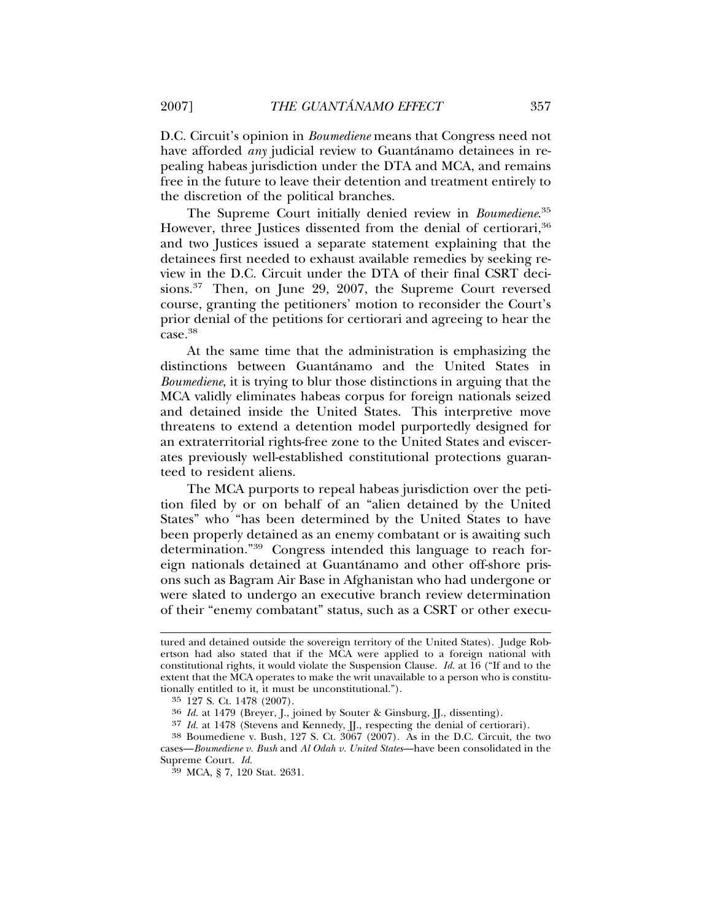D.C. Circuit's opinion in *Boumediene* means that Congress need not have afforded *any* judicial review to Guantánamo detainees in repealing habeas jurisdiction under the DTA and MCA, and remains free in the future to leave their detention and treatment entirely to the discretion of the political branches.

The Supreme Court initially denied review in *Boumediene*. 35 However, three Justices dissented from the denial of certiorari,<sup>36</sup> and two Justices issued a separate statement explaining that the detainees first needed to exhaust available remedies by seeking review in the D.C. Circuit under the DTA of their final CSRT decisions.<sup>37</sup> Then, on June 29, 2007, the Supreme Court reversed course, granting the petitioners' motion to reconsider the Court's prior denial of the petitions for certiorari and agreeing to hear the case.38

At the same time that the administration is emphasizing the distinctions between Guantanamo and the United States in ´ *Boumediene*, it is trying to blur those distinctions in arguing that the MCA validly eliminates habeas corpus for foreign nationals seized and detained inside the United States. This interpretive move threatens to extend a detention model purportedly designed for an extraterritorial rights-free zone to the United States and eviscerates previously well-established constitutional protections guaranteed to resident aliens.

The MCA purports to repeal habeas jurisdiction over the petition filed by or on behalf of an "alien detained by the United States" who "has been determined by the United States to have been properly detained as an enemy combatant or is awaiting such determination."39 Congress intended this language to reach foreign nationals detained at Guantanamo and other off-shore pris- ´ ons such as Bagram Air Base in Afghanistan who had undergone or were slated to undergo an executive branch review determination of their "enemy combatant" status, such as a CSRT or other execu-

tured and detained outside the sovereign territory of the United States). Judge Robertson had also stated that if the MCA were applied to a foreign national with constitutional rights, it would violate the Suspension Clause. *Id.* at 16 ("If and to the extent that the MCA operates to make the writ unavailable to a person who is constitutionally entitled to it, it must be unconstitutional.").

<sup>35</sup> 127 S. Ct. 1478 (2007).

<sup>&</sup>lt;sup>36</sup> *Id.* at 1479 (Breyer, J., joined by Souter & Ginsburg, JJ., dissenting).<br><sup>37</sup> *Id.* at 1478 (Stevens and Kennedy, JJ., respecting the denial of certiorari).

<sup>&</sup>lt;sup>38</sup> Boumediene v. Bush, 127 S. Ct. 3067 (2007). As in the D.C. Circuit, the two cases—*Boumediene v. Bush* and *Al Odah v. United States*—have been consolidated in the Supreme Court. *Id.* <sup>39</sup> MCA, § 7, 120 Stat. 2631.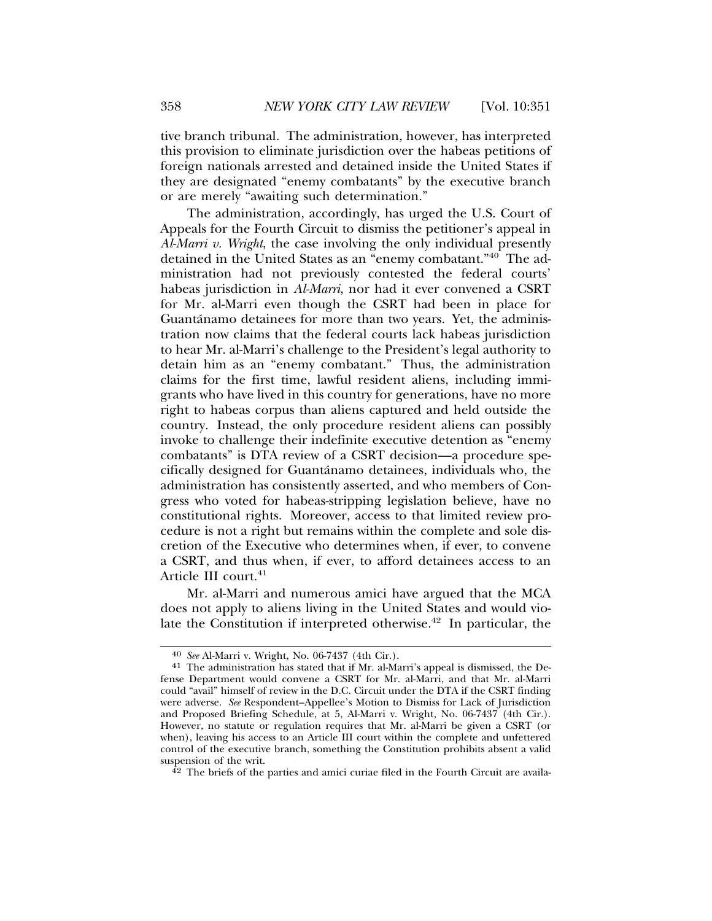tive branch tribunal. The administration, however, has interpreted this provision to eliminate jurisdiction over the habeas petitions of foreign nationals arrested and detained inside the United States if they are designated "enemy combatants" by the executive branch or are merely "awaiting such determination."

The administration, accordingly, has urged the U.S. Court of Appeals for the Fourth Circuit to dismiss the petitioner's appeal in *Al-Marri v. Wright*, the case involving the only individual presently detained in the United States as an "enemy combatant."40 The administration had not previously contested the federal courts' habeas jurisdiction in *Al-Marri*, nor had it ever convened a CSRT for Mr. al-Marri even though the CSRT had been in place for Guantánamo detainees for more than two years. Yet, the administration now claims that the federal courts lack habeas jurisdiction to hear Mr. al-Marri's challenge to the President's legal authority to detain him as an "enemy combatant." Thus, the administration claims for the first time, lawful resident aliens, including immigrants who have lived in this country for generations, have no more right to habeas corpus than aliens captured and held outside the country. Instead, the only procedure resident aliens can possibly invoke to challenge their indefinite executive detention as "enemy combatants" is DTA review of a CSRT decision—a procedure specifically designed for Guantanamo detainees, individuals who, the ´ administration has consistently asserted, and who members of Congress who voted for habeas-stripping legislation believe, have no constitutional rights. Moreover, access to that limited review procedure is not a right but remains within the complete and sole discretion of the Executive who determines when, if ever, to convene a CSRT, and thus when, if ever, to afford detainees access to an Article III court.<sup>41</sup>

Mr. al-Marri and numerous amici have argued that the MCA does not apply to aliens living in the United States and would violate the Constitution if interpreted otherwise.<sup>42</sup> In particular, the

 $42$  The briefs of the parties and amici curiae filed in the Fourth Circuit are availa-

<sup>40</sup> *See* Al-Marri v. Wright, No. 06-7437 (4th Cir.). <sup>41</sup> The administration has stated that if Mr. al-Marri's appeal is dismissed, the Defense Department would convene a CSRT for Mr. al-Marri, and that Mr. al-Marri could "avail" himself of review in the D.C. Circuit under the DTA if the CSRT finding were adverse. *See* Respondent–Appellee's Motion to Dismiss for Lack of Jurisdiction and Proposed Briefing Schedule, at 5, Al-Marri v. Wright, No. 06-7437 (4th Cir.). However, no statute or regulation requires that Mr. al-Marri be given a CSRT (or when), leaving his access to an Article III court within the complete and unfettered control of the executive branch, something the Constitution prohibits absent a valid suspension of the writ.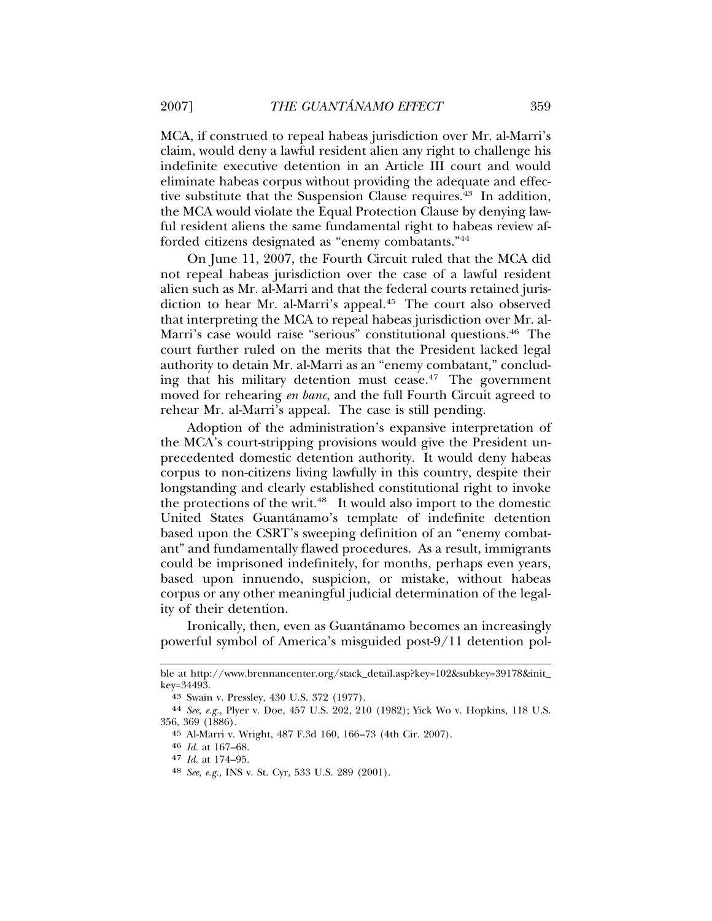MCA, if construed to repeal habeas jurisdiction over Mr. al-Marri's claim, would deny a lawful resident alien any right to challenge his indefinite executive detention in an Article III court and would eliminate habeas corpus without providing the adequate and effective substitute that the Suspension Clause requires.<sup>43</sup> In addition, the MCA would violate the Equal Protection Clause by denying lawful resident aliens the same fundamental right to habeas review afforded citizens designated as "enemy combatants."44

On June 11, 2007, the Fourth Circuit ruled that the MCA did not repeal habeas jurisdiction over the case of a lawful resident alien such as Mr. al-Marri and that the federal courts retained jurisdiction to hear Mr. al-Marri's appeal.<sup>45</sup> The court also observed that interpreting the MCA to repeal habeas jurisdiction over Mr. al-Marri's case would raise "serious" constitutional questions.<sup>46</sup> The court further ruled on the merits that the President lacked legal authority to detain Mr. al-Marri as an "enemy combatant," concluding that his military detention must cease.<sup>47</sup> The government moved for rehearing *en banc*, and the full Fourth Circuit agreed to rehear Mr. al-Marri's appeal. The case is still pending.

Adoption of the administration's expansive interpretation of the MCA's court-stripping provisions would give the President unprecedented domestic detention authority. It would deny habeas corpus to non-citizens living lawfully in this country, despite their longstanding and clearly established constitutional right to invoke the protections of the writ.<sup>48</sup> It would also import to the domestic United States Guantánamo's template of indefinite detention based upon the CSRT's sweeping definition of an "enemy combatant" and fundamentally flawed procedures. As a result, immigrants could be imprisoned indefinitely, for months, perhaps even years, based upon innuendo, suspicion, or mistake, without habeas corpus or any other meaningful judicial determination of the legality of their detention.

Ironically, then, even as Guantánamo becomes an increasingly powerful symbol of America's misguided post-9/11 detention pol-

ble at http://www.brennancenter.org/stack\_detail.asp?key=102&subkey=39178&init\_ key=34493.

<sup>43</sup> Swain v. Pressley, 430 U.S. 372 (1977).

<sup>44</sup> *See*, *e.g.*, Plyer v. Doe, 457 U.S. 202, 210 (1982); Yick Wo v. Hopkins, 118 U.S. 356, 369 (1886).

<sup>45</sup> Al-Marri v. Wright, 487 F.3d 160, 166–73 (4th Cir. 2007).

<sup>46</sup> *Id.* at 167–68.

<sup>47</sup> *Id.* at 174–95.

<sup>48</sup> *See*, *e.g.*, INS v. St. Cyr, 533 U.S. 289 (2001).